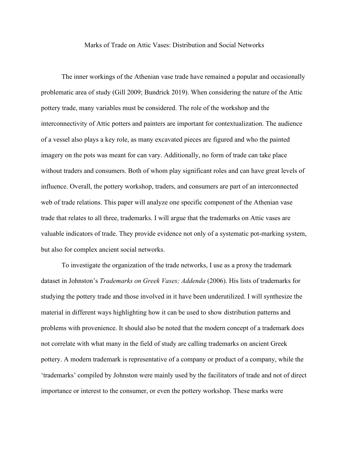## Marks of Trade on Attic Vases: Distribution and Social Networks

The inner workings of the Athenian vase trade have remained a popular and occasionally problematic area of study (Gill 2009; Bundrick 2019). When considering the nature of the Attic pottery trade, many variables must be considered. The role of the workshop and the interconnectivity of Attic potters and painters are important for contextualization. The audience of a vessel also plays a key role, as many excavated pieces are figured and who the painted imagery on the pots was meant for can vary. Additionally, no form of trade can take place without traders and consumers. Both of whom play significant roles and can have great levels of influence. Overall, the pottery workshop, traders, and consumers are part of an interconnected web of trade relations. This paper will analyze one specific component of the Athenian vase trade that relates to all three, trademarks. I will argue that the trademarks on Attic vases are valuable indicators of trade. They provide evidence not only of a systematic pot-marking system, but also for complex ancient social networks.

To investigate the organization of the trade networks, I use as a proxy the trademark dataset in Johnston's *Trademarks on Greek Vases; Addenda* (2006). His lists of trademarks for studying the pottery trade and those involved in it have been underutilized. I will synthesize the material in different ways highlighting how it can be used to show distribution patterns and problems with provenience. It should also be noted that the modern concept of a trademark does not correlate with what many in the field of study are calling trademarks on ancient Greek pottery. A modern trademark is representative of a company or product of a company, while the 'trademarks' compiled by Johnston were mainly used by the facilitators of trade and not of direct importance or interest to the consumer, or even the pottery workshop. These marks were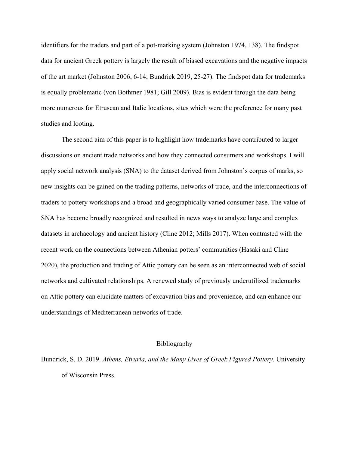identifiers for the traders and part of a pot-marking system (Johnston 1974, 138). The findspot data for ancient Greek pottery is largely the result of biased excavations and the negative impacts of the art market (Johnston 2006, 6-14; Bundrick 2019, 25-27). The findspot data for trademarks is equally problematic (von Bothmer 1981; Gill 2009). Bias is evident through the data being more numerous for Etruscan and Italic locations, sites which were the preference for many past studies and looting.

The second aim of this paper is to highlight how trademarks have contributed to larger discussions on ancient trade networks and how they connected consumers and workshops. I will apply social network analysis (SNA) to the dataset derived from Johnston's corpus of marks, so new insights can be gained on the trading patterns, networks of trade, and the interconnections of traders to pottery workshops and a broad and geographically varied consumer base. The value of SNA has become broadly recognized and resulted in news ways to analyze large and complex datasets in archaeology and ancient history (Cline 2012; Mills 2017). When contrasted with the recent work on the connections between Athenian potters' communities (Hasaki and Cline 2020), the production and trading of Attic pottery can be seen as an interconnected web of social networks and cultivated relationships. A renewed study of previously underutilized trademarks on Attic pottery can elucidate matters of excavation bias and provenience, and can enhance our understandings of Mediterranean networks of trade.

## Bibliography

Bundrick, S. D. 2019. *Athens, Etruria, and the Many Lives of Greek Figured Pottery*. University of Wisconsin Press.